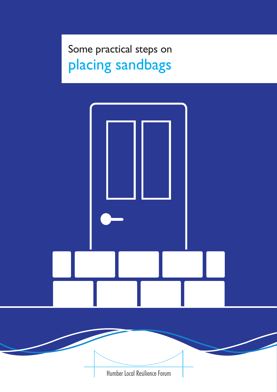# Some practical steps on placing sandbags